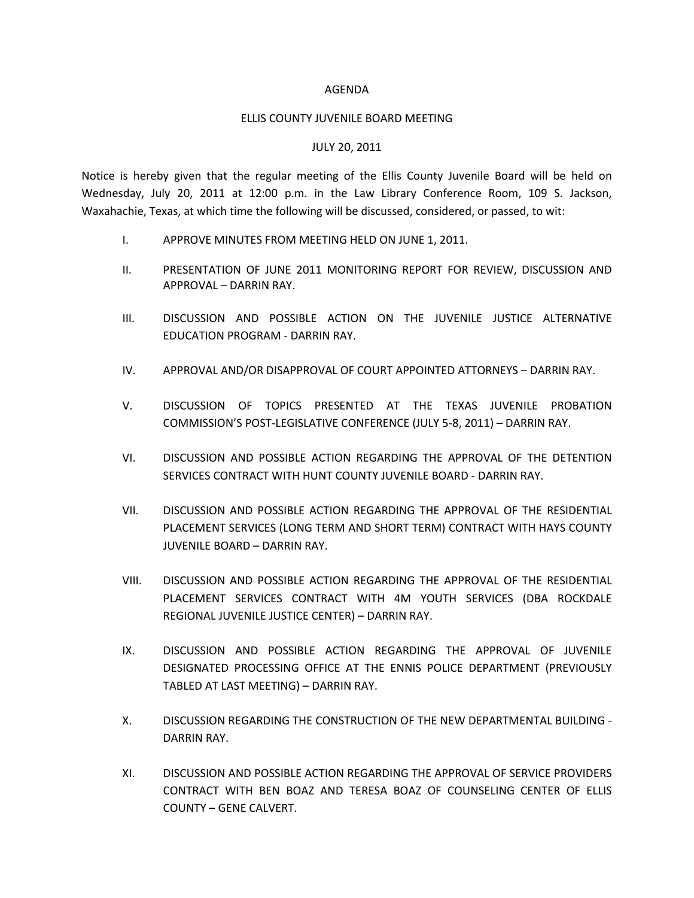## AGENDA

## ELLIS COUNTY JUVENILE BOARD MEETING

## JULY 20, 2011

Notice is hereby given that the regular meeting of the Ellis County Juvenile Board will be held on Wednesday, July 20, 2011 at 12:00 p.m. in the Law Library Conference Room, 109 S. Jackson, Waxahachie, Texas, at which time the following will be discussed, considered, or passed, to wit:

- I. APPROVE MINUTES FROM MEETING HELD ON JUNE 1, 2011.
- II. PRESENTATION OF JUNE 2011 MONITORING REPORT FOR REVIEW, DISCUSSION AND APPROVAL – DARRIN RAY.
- III. DISCUSSION AND POSSIBLE ACTION ON THE JUVENILE JUSTICE ALTERNATIVE EDUCATION PROGRAM - DARRIN RAY.
- IV. APPROVAL AND/OR DISAPPROVAL OF COURT APPOINTED ATTORNEYS DARRIN RAY.
- V. DISCUSSION OF TOPICS PRESENTED AT THE TEXAS JUVENILE PROBATION COMMISSION'S POST-LEGISLATIVE CONFERENCE (JULY 5-8, 2011) – DARRIN RAY.
- VI. DISCUSSION AND POSSIBLE ACTION REGARDING THE APPROVAL OF THE DETENTION SERVICES CONTRACT WITH HUNT COUNTY JUVENILE BOARD - DARRIN RAY.
- VII. DISCUSSION AND POSSIBLE ACTION REGARDING THE APPROVAL OF THE RESIDENTIAL PLACEMENT SERVICES (LONG TERM AND SHORT TERM) CONTRACT WITH HAYS COUNTY JUVENILE BOARD – DARRIN RAY.
- VIII. DISCUSSION AND POSSIBLE ACTION REGARDING THE APPROVAL OF THE RESIDENTIAL PLACEMENT SERVICES CONTRACT WITH 4M YOUTH SERVICES (DBA ROCKDALE REGIONAL JUVENILE JUSTICE CENTER) – DARRIN RAY.
- IX. DISCUSSION AND POSSIBLE ACTION REGARDING THE APPROVAL OF JUVENILE DESIGNATED PROCESSING OFFICE AT THE ENNIS POLICE DEPARTMENT (PREVIOUSLY TABLED AT LAST MEETING) – DARRIN RAY.
- X. DISCUSSION REGARDING THE CONSTRUCTION OF THE NEW DEPARTMENTAL BUILDING DARRIN RAY.
- XI. DISCUSSION AND POSSIBLE ACTION REGARDING THE APPROVAL OF SERVICE PROVIDERS CONTRACT WITH BEN BOAZ AND TERESA BOAZ OF COUNSELING CENTER OF ELLIS COUNTY – GENE CALVERT.